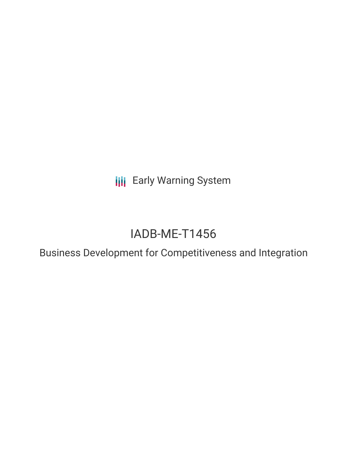**III** Early Warning System

# IADB-ME-T1456

Business Development for Competitiveness and Integration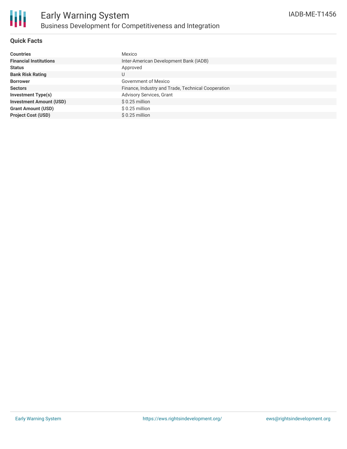

### **Quick Facts**

| <b>Countries</b>               | Mexico                                             |
|--------------------------------|----------------------------------------------------|
| <b>Financial Institutions</b>  | Inter-American Development Bank (IADB)             |
| <b>Status</b>                  | Approved                                           |
| <b>Bank Risk Rating</b>        | U                                                  |
| <b>Borrower</b>                | Government of Mexico                               |
| <b>Sectors</b>                 | Finance, Industry and Trade, Technical Cooperation |
| <b>Investment Type(s)</b>      | <b>Advisory Services, Grant</b>                    |
| <b>Investment Amount (USD)</b> | $$0.25$ million                                    |
| <b>Grant Amount (USD)</b>      | $$0.25$ million                                    |
| <b>Project Cost (USD)</b>      | $$0.25$ million                                    |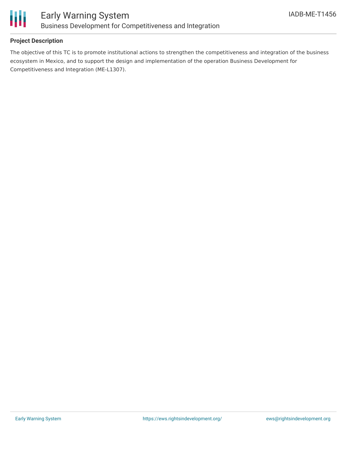

## **Project Description**

The objective of this TC is to promote institutional actions to strengthen the competitiveness and integration of the business ecosystem in Mexico, and to support the design and implementation of the operation Business Development for Competitiveness and Integration (ME-L1307).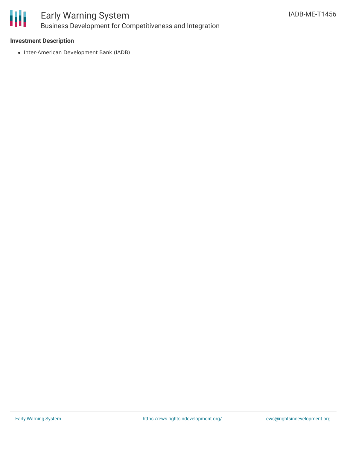

# Early Warning System Business Development for Competitiveness and Integration

### **Investment Description**

• Inter-American Development Bank (IADB)